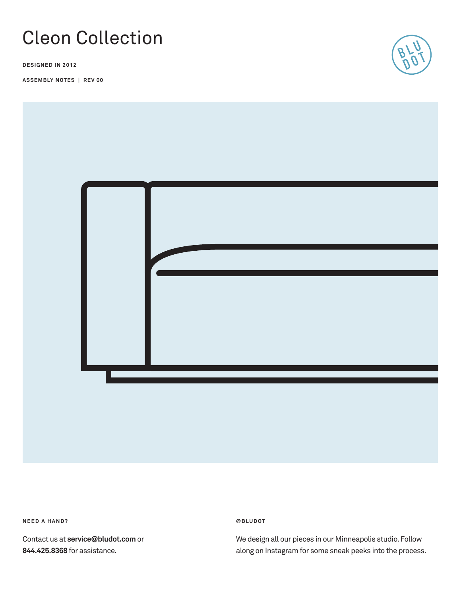# Cleon Collection

**DESIGNED IN 2012**

**ASSEMBLY NOTES | REV 00**





**NEED A HAND?** 

Contact us at **service@bludot.com** or **844.425.8368** for assistance.

**@ B L U D O T** 

We design all our pieces in our Minneapolis studio. Follow along on Instagram for some sneak peeks into the process.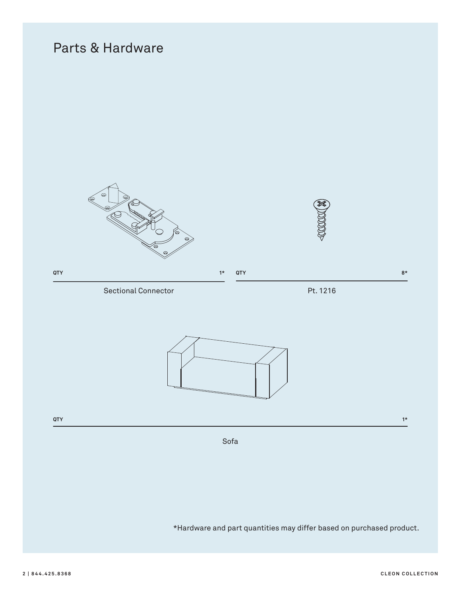## Parts & Hardware



\*Hardware and part quantities may differ based on purchased product.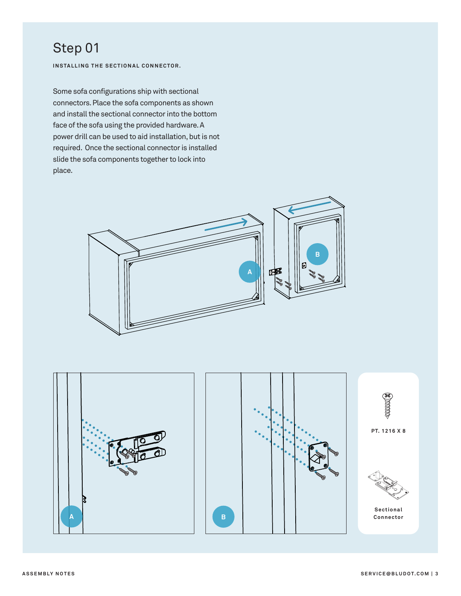### Step 01

**INSTALLING THE SECTIONAL CONNECTOR.**

Some sofa configurations ship with sectional connectors. Place the sofa components as shown and install the sectional connector into the bottom face of the sofa using the provided hardware. A power drill can be used to aid installation, but is not required. Once the sectional connector is installed slide the sofa components together to lock into place.